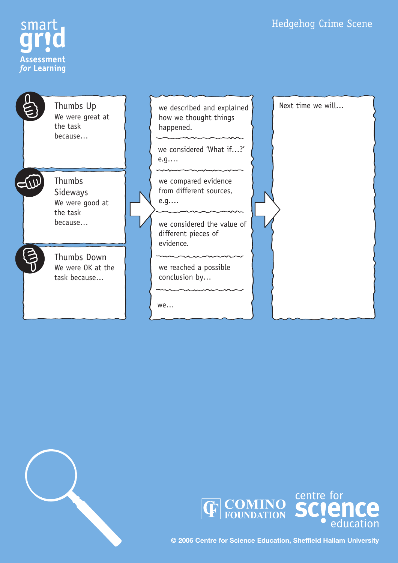### Hedgehog Crime Scene



Thumbs Up We were great at the task because… EW Thumbs Sideways We were good at the task because… Thumbs Down

We were OK at the task because…

we described and explained how we thought things happened.

we considered 'What if…?' e.g.…

we compared evidence from different sources, e.g.…

we considered the value of different pieces of evidence.

we reached a possible conclusion by…

we…

Next time we will…





**© 2006 Centre for Science Education, Sheffield Hallam University**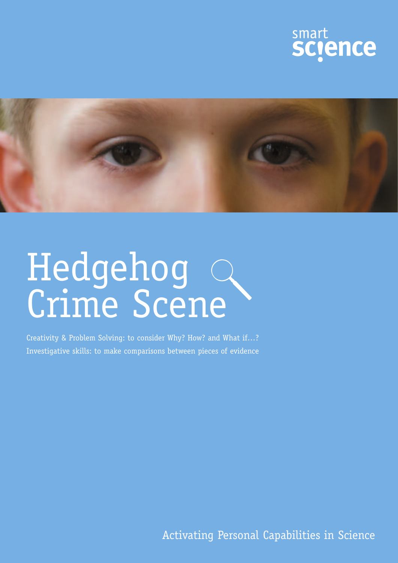



# Hedgehog Crime Scene

Creativity & Problem Solving: to consider Why? How? and What if…? Investigative skills: to make comparisons between pieces of evidence

Activating Personal Capabilities in Science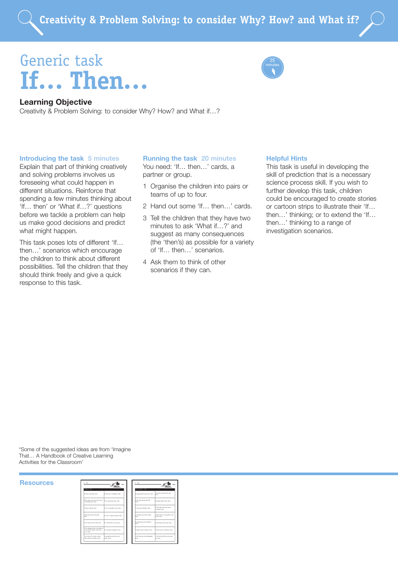## Generic task **If… Then…**



#### **Learning Objective**

Creativity & Problem Solving: to consider Why? How? and What if…?

#### **Introducing the task 5 minutes**

Explain that part of thinking creatively and solving problems involves us foreseeing what could happen in different situations. Reinforce that spending a few minutes thinking about 'If… then' or 'What if…?' questions before we tackle a problem can help us make good decisions and predict what might happen.

This task poses lots of different 'If… then…' scenarios which encourage the children to think about different possibilities. Tell the children that they should think freely and give a quick response to this task.

#### **Running the task 20 minutes**

You need: 'If... then...' cards, a partner or group.

- 1 Organise the children into pairs or teams of up to four.
- 2 Hand out some 'If… then…' cards.
- 3 Tell the children that they have two minutes to ask 'What if…?' and suggest as many consequences (the 'then's) as possible for a variety of 'If… then…' scenarios.
- 4 Ask them to think of other scenarios if they can.

#### **Helpful Hints**

This task is useful in developing the skill of prediction that is a necessary science process skill. If you wish to further develop this task, children could be encouraged to create stories or cartoon strips to illustrate their 'If… then…' thinking; or to extend the 'If… then…' thinking to a range of investigation scenarios.

\*Some of the suggested ideas are from 'Imagine That… A Handbook of Creative Learning Activities for the Classroom'

#### **Resources**

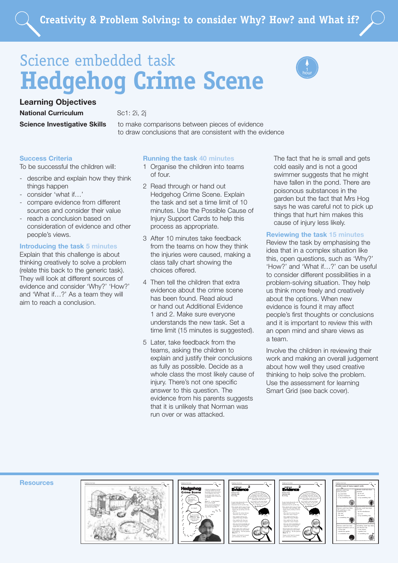# Science embedded task **Hedgehog Crime Scene**



**Learning Objectives**

**National Curriculum Sc1: 2i, 2i** 

**Science Investigative Skills** to make comparisons between pieces of evidence to draw conclusions that are consistent with the evidence

#### **Success Criteria**

To be successful the children will:

- describe and explain how they think things happen
- consider 'what if...'
- compare evidence from different sources and consider their value
- reach a conclusion based on consideration of evidence and other people's views.

#### **Introducing the task 5 minutes**

Explain that this challenge is about thinking creatively to solve a problem (relate this back to the generic task). They will look at different sources of evidence and consider 'Why?' 'How?' and 'What if…?' As a team they will aim to reach a conclusion.

#### **Running the task 40 minutes**

- 1 Organise the children into teams of four.
- 2 Read through or hand out Hedgehog Crime Scene. Explain the task and set a time limit of 10 minutes. Use the Possible Cause of Injury Support Cards to help this process as appropriate.
- 3 After 10 minutes take feedback from the teams on how they think the injuries were caused, making a class tally chart showing the choices offered.
- 4 Then tell the children that extra evidence about the crime scene has been found. Read aloud or hand out Additional Evidence 1 and 2. Make sure everyone understands the new task. Set a time limit (15 minutes is suggested).
- 5 Later, take feedback from the teams, asking the children to explain and justify their conclusions as fully as possible. Decide as a whole class the most likely cause of injury. There's not one specific answer to this question. The evidence from his parents suggests that it is unlikely that Norman was run over or was attacked.

The fact that he is small and gets cold easily and is not a good swimmer suggests that he might have fallen in the pond. There are poisonous substances in the garden but the fact that Mrs Hog says he was careful not to pick up things that hurt him makes this cause of injury less likely.

#### **Reviewing the task 15 minutes**

Review the task by emphasising the idea that in a complex situation like this, open questions, such as 'Why?' 'How?' and 'What if…?' can be useful to consider different possibilities in a problem-solving situation. They help us think more freely and creatively about the options. When new evidence is found it may affect people's first thoughts or conclusions and it is important to review this with an open mind and share views as a team.

Involve the children in reviewing their work and making an overall judgement about how well they used creative thinking to help solve the problem. Use the assessment for learning Smart Grid (see back cover).

**Resources**









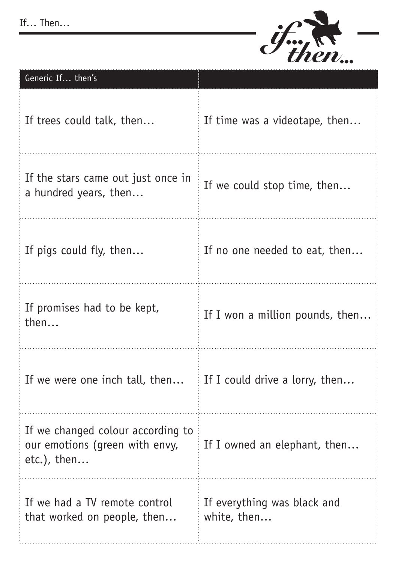

| Generic If then's                                                                     |                                            |
|---------------------------------------------------------------------------------------|--------------------------------------------|
| If trees could talk, then                                                             | If time was a videotape, then              |
| If the stars came out just once in<br>a hundred years, then                           | If we could stop time, then                |
| If pigs could fly, then                                                               | If no one needed to eat, then              |
| If promises had to be kept,<br>then                                                   | If I won a million pounds, then            |
| If we were one inch tall, then                                                        | If I could drive a lorry, then             |
| If we changed colour according to<br>our emotions (green with envy,<br>$etc.$ ), then | If I owned an elephant, then               |
| If we had a TV remote control<br>that worked on people, then                          | If everything was black and<br>white, then |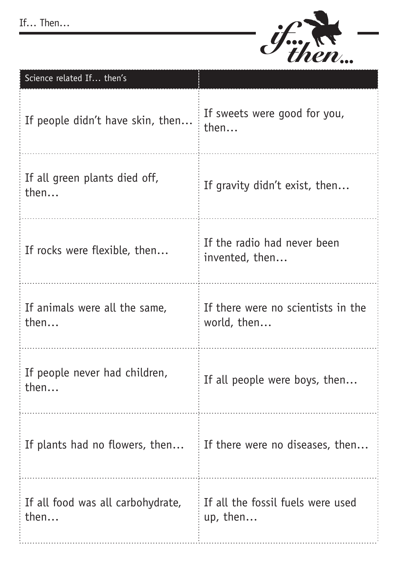

| Science related If then's                     |                                                   |
|-----------------------------------------------|---------------------------------------------------|
| If people didn't have skin, then              | If sweets were good for you,<br>then              |
| If all green plants died off,<br>then         | If gravity didn't exist, then                     |
| If rocks were flexible, then                  | If the radio had never been<br>invented, then     |
| If animals were all the same,<br>then $\dots$ | If there were no scientists in the<br>world, then |
| If people never had children,<br>then         | If all people were boys, then                     |
| If plants had no flowers, then                | $\pm$ If there were no diseases, then             |
| If all food was all carbohydrate,<br>then     | If all the fossil fuels were used<br>$up$ , then  |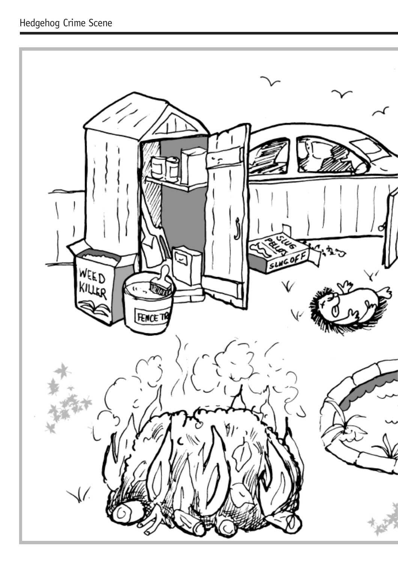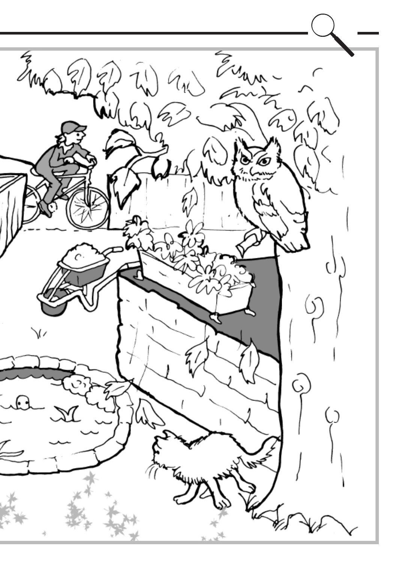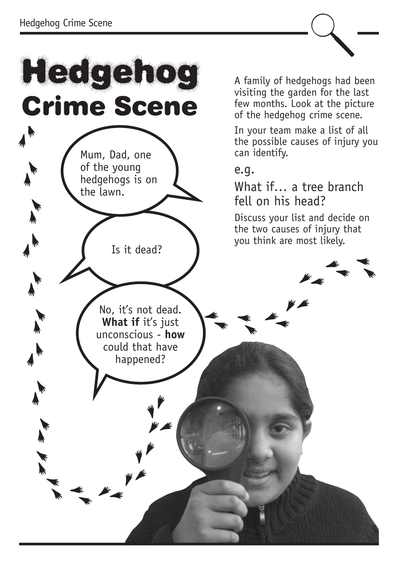

A family of hedgehogs had been visiting the garden for the last few months. Look at the picture of the hedgehog crime scene.

In your team make a list of all the possible causes of injury you can identify.

What if… a tree branch fell on his head?

Discuss your list and decide on the two causes of injury that you think are most likely.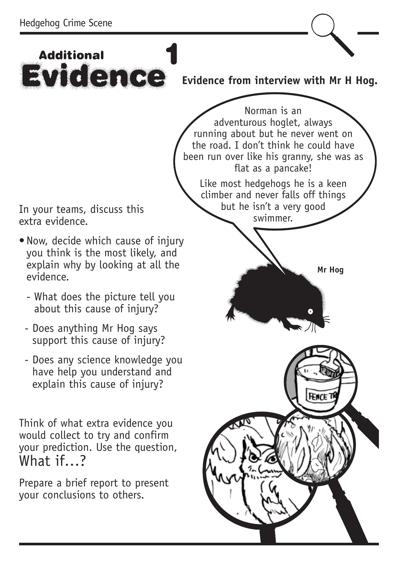**Additional Evidence** 

**Evidence from interview with Mr H Hog.**

In your teams, discuss this extra evidence.

- Now, decide which cause of injury you think is the most likely, and explain why by looking at all the evidence.
	- What does the picture tell you about this cause of injury?
	- Does anything Mr Hog says support this cause of injury?
	- Does any science knowledge you have help you understand and explain this cause of injury?

Think of what extra evidence you would collect to try and confirm your prediction. Use the question, What if…?

Prepare a brief report to present your conclusions to others.

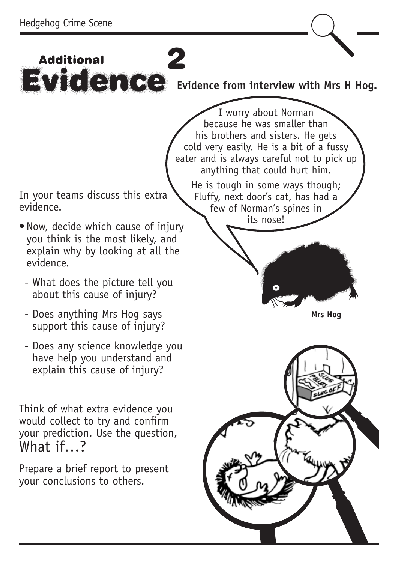**2**

I worry about Norman because he was smaller than his brothers and sisters. He gets cold very easily. He is a bit of a fussy eater and is always careful not to pick up anything that could hurt him.

**Evidence from interview with Mrs H Hog.**

He is tough in some ways though; Fluffy, next door's cat, has had a few of Norman's spines in its nose!

• Now, decide which cause of injury you think is the most likely, and explain why by looking at all the evidence.

In your teams discuss this extra

evidence.

- What does the picture tell you about this cause of injury?
- Does anything Mrs Hog says support this cause of injury?
- Does any science knowledge you have help you understand and explain this cause of injury?

Think of what extra evidence you would collect to try and confirm your prediction. Use the question, What if…?

Prepare a brief report to present your conclusions to others.



**Mrs Hog**